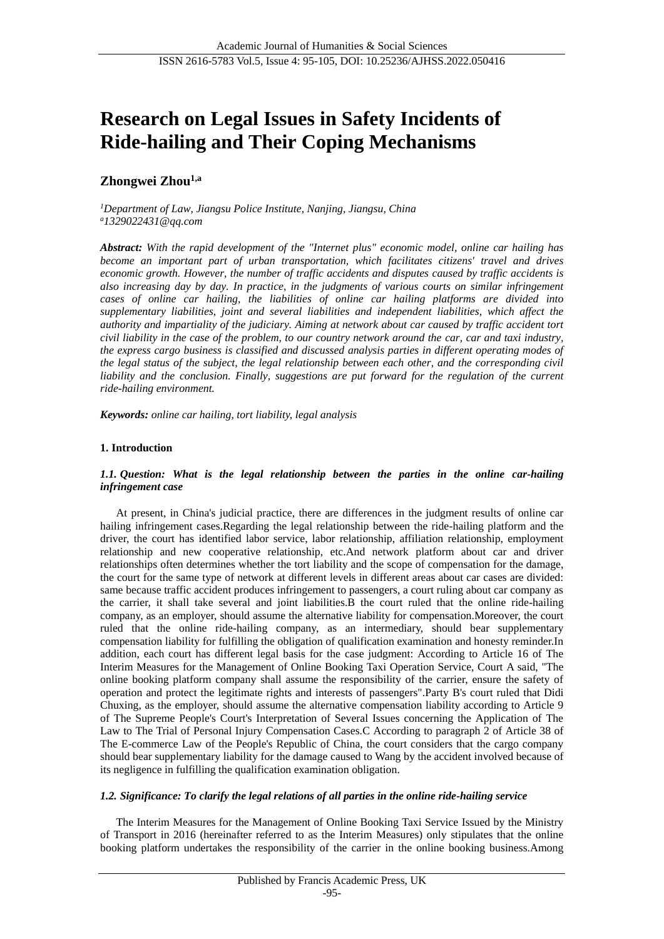# **Research on Legal Issues in Safety Incidents of Ride-hailing and Their Coping Mechanisms**

# **Zhongwei Zhou1,a**

*<sup>1</sup>Department of Law, Jiangsu Police Institute, Nanjing, Jiangsu, China <sup>a</sup>[1329022431@qq.com](mailto:1329022431@qq.com)*

*Abstract: With the rapid development of the "Internet plus" economic model, online car hailing has become an important part of urban transportation, which facilitates citizens' travel and drives economic growth. However, the number of traffic accidents and disputes caused by traffic accidents is also increasing day by day. In practice, in the judgments of various courts on similar infringement cases of online car hailing, the liabilities of online car hailing platforms are divided into supplementary liabilities, joint and several liabilities and independent liabilities, which affect the authority and impartiality of the judiciary. Aiming at network about car caused by traffic accident tort civil liability in the case of the problem, to our country network around the car, car and taxi industry, the express cargo business is classified and discussed analysis parties in different operating modes of the legal status of the subject, the legal relationship between each other, and the corresponding civil liability and the conclusion. Finally, suggestions are put forward for the regulation of the current ride-hailing environment.*

*Keywords: online car hailing, tort liability, legal analysis*

# **1. Introduction**

# *1.1. Question: What is the legal relationship between the parties in the online car-hailing infringement case*

At present, in China's judicial practice, there are differences in the judgment results of online car hailing infringement cases.Regarding the legal relationship between the ride-hailing platform and the driver, the court has identified labor service, labor relationship, affiliation relationship, employment relationship and new cooperative relationship, etc.And network platform about car and driver relationships often determines whether the tort liability and the scope of compensation for the damage, the court for the same type of network at different levels in different areas about car cases are divided: same because traffic accident produces infringement to passengers, a court ruling about car company as the carrier, it shall take several and joint liabilities.B the court ruled that the online ride-hailing company, as an employer, should assume the alternative liability for compensation.Moreover, the court ruled that the online ride-hailing company, as an intermediary, should bear supplementary compensation liability for fulfilling the obligation of qualification examination and honesty reminder.In addition, each court has different legal basis for the case judgment: According to Article 16 of The Interim Measures for the Management of Online Booking Taxi Operation Service, Court A said, "The online booking platform company shall assume the responsibility of the carrier, ensure the safety of operation and protect the legitimate rights and interests of passengers".Party B's court ruled that Didi Chuxing, as the employer, should assume the alternative compensation liability according to Article 9 of The Supreme People's Court's Interpretation of Several Issues concerning the Application of The Law to The Trial of Personal Injury Compensation Cases.C According to paragraph 2 of Article 38 of The E-commerce Law of the People's Republic of China, the court considers that the cargo company should bear supplementary liability for the damage caused to Wang by the accident involved because of its negligence in fulfilling the qualification examination obligation.

# *1.2. Significance: To clarify the legal relations of all parties in the online ride-hailing service*

The Interim Measures for the Management of Online Booking Taxi Service Issued by the Ministry of Transport in 2016 (hereinafter referred to as the Interim Measures) only stipulates that the online booking platform undertakes the responsibility of the carrier in the online booking business.Among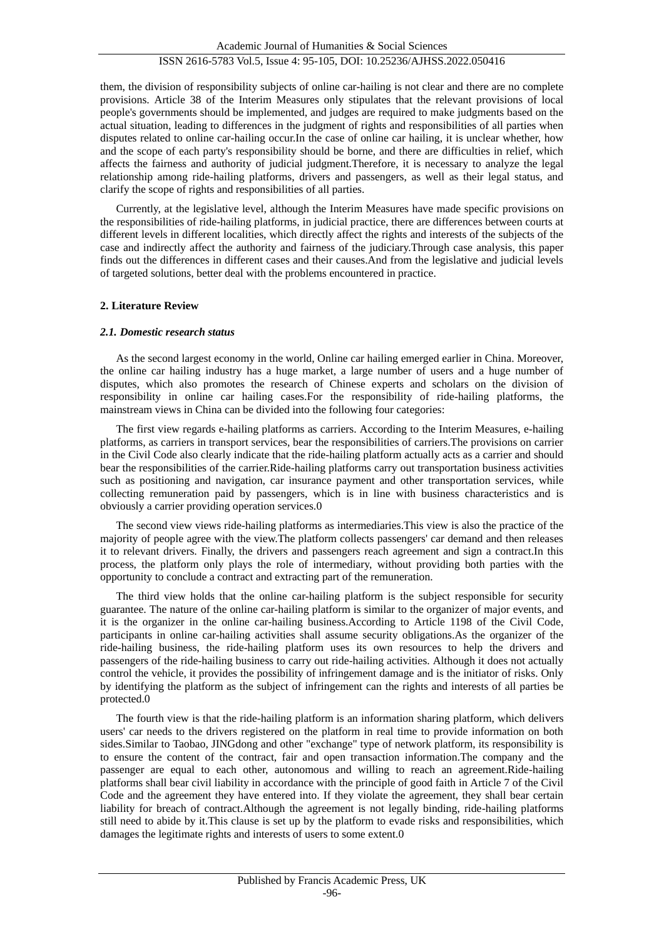them, the division of responsibility subjects of online car-hailing is not clear and there are no complete provisions. Article 38 of the Interim Measures only stipulates that the relevant provisions of local people's governments should be implemented, and judges are required to make judgments based on the actual situation, leading to differences in the judgment of rights and responsibilities of all parties when disputes related to online car-hailing occur.In the case of online car hailing, it is unclear whether, how and the scope of each party's responsibility should be borne, and there are difficulties in relief, which affects the fairness and authority of judicial judgment.Therefore, it is necessary to analyze the legal relationship among ride-hailing platforms, drivers and passengers, as well as their legal status, and clarify the scope of rights and responsibilities of all parties.

Currently, at the legislative level, although the Interim Measures have made specific provisions on the responsibilities of ride-hailing platforms, in judicial practice, there are differences between courts at different levels in different localities, which directly affect the rights and interests of the subjects of the case and indirectly affect the authority and fairness of the judiciary.Through case analysis, this paper finds out the differences in different cases and their causes.And from the legislative and judicial levels of targeted solutions, better deal with the problems encountered in practice.

# **2. Literature Review**

# *2.1. Domestic research status*

As the second largest economy in the world, Online car hailing emerged earlier in China. Moreover, the online car hailing industry has a huge market, a large number of users and a huge number of disputes, which also promotes the research of Chinese experts and scholars on the division of responsibility in online car hailing cases.For the responsibility of ride-hailing platforms, the mainstream views in China can be divided into the following four categories:

The first view regards e-hailing platforms as carriers. According to the Interim Measures, e-hailing platforms, as carriers in transport services, bear the responsibilities of carriers.The provisions on carrier in the Civil Code also clearly indicate that the ride-hailing platform actually acts as a carrier and should bear the responsibilities of the carrier.Ride-hailing platforms carry out transportation business activities such as positioning and navigation, car insurance payment and other transportation services, while collecting remuneration paid by passengers, which is in line with business characteristics and is obviously a carrier providing operation service[s.0](#page-10-0)

The second view views ride-hailing platforms as intermediaries.This view is also the practice of the majority of people agree with the view.The platform collects passengers' car demand and then releases it to relevant drivers. Finally, the drivers and passengers reach agreement and sign a contract.In this process, the platform only plays the role of intermediary, without providing both parties with the opportunity to conclude a contract and extracting part of the remuneration.

The third view holds that the online car-hailing platform is the subject responsible for security guarantee. The nature of the online car-hailing platform is similar to the organizer of major events, and it is the organizer in the online car-hailing business.According to Article 1198 of the Civil Code, participants in online car-hailing activities shall assume security obligations.As the organizer of the ride-hailing business, the ride-hailing platform uses its own resources to help the drivers and passengers of the ride-hailing business to carry out ride-hailing activities. Although it does not actually control the vehicle, it provides the possibility of infringement damage and is the initiator of risks. Only by identifying the platform as the subject of infringement can the rights and interests of all parties be protecte[d.0](#page-10-1)

The fourth view is that the ride-hailing platform is an information sharing platform, which delivers users' car needs to the drivers registered on the platform in real time to provide information on both sides.Similar to Taobao, JINGdong and other "exchange" type of network platform, its responsibility is to ensure the content of the contract, fair and open transaction information.The company and the passenger are equal to each other, autonomous and willing to reach an agreement.Ride-hailing platforms shall bear civil liability in accordance with the principle of good faith in Article 7 of the Civil Code and the agreement they have entered into. If they violate the agreement, they shall bear certain liability for breach of contract.Although the agreement is not legally binding, ride-hailing platforms still need to abide by it.This clause is set up by the platform to evade risks and responsibilities, which damages the legitimate rights and interests of users to some extent[.0](#page-10-2)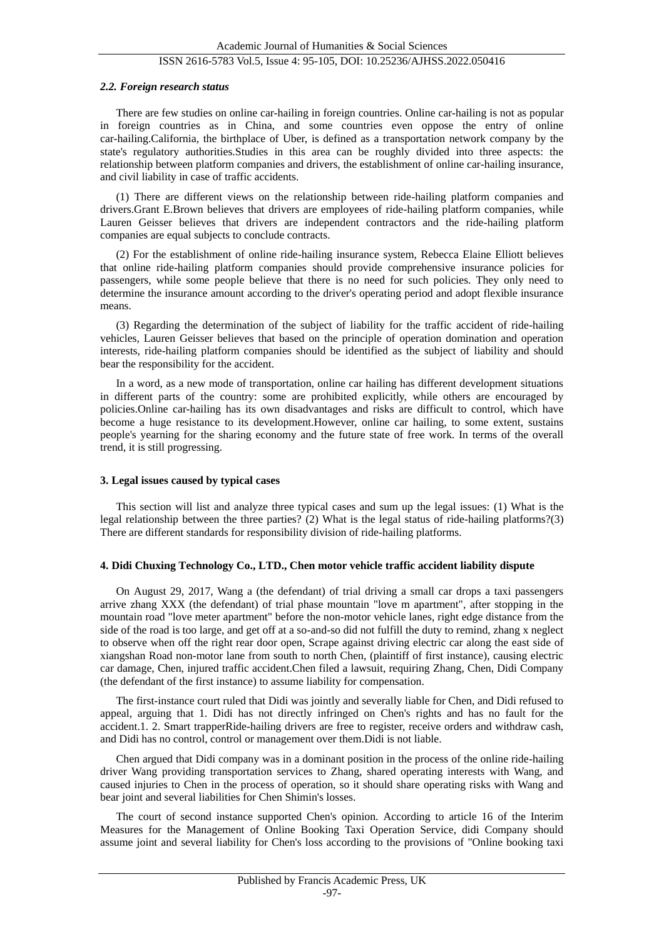#### *2.2. Foreign research status*

There are few studies on online car-hailing in foreign countries. Online car-hailing is not as popular in foreign countries as in China, and some countries even oppose the entry of online car-hailing.California, the birthplace of Uber, is defined as a transportation network company by the state's regulatory authorities.Studies in this area can be roughly divided into three aspects: the relationship between platform companies and drivers, the establishment of online car-hailing insurance, and civil liability in case of traffic accidents.

(1) There are different views on the relationship between ride-hailing platform companies and drivers.Grant E.Brown believes that drivers are employees of ride-hailing platform companies, while Lauren Geisser believes that drivers are independent contractors and the ride-hailing platform companies are equal subjects to conclude contracts.

(2) For the establishment of online ride-hailing insurance system, Rebecca Elaine Elliott believes that online ride-hailing platform companies should provide comprehensive insurance policies for passengers, while some people believe that there is no need for such policies. They only need to determine the insurance amount according to the driver's operating period and adopt flexible insurance means.

(3) Regarding the determination of the subject of liability for the traffic accident of ride-hailing vehicles, Lauren Geisser believes that based on the principle of operation domination and operation interests, ride-hailing platform companies should be identified as the subject of liability and should bear the responsibility for the accident.

In a word, as a new mode of transportation, online car hailing has different development situations in different parts of the country: some are prohibited explicitly, while others are encouraged by policies.Online car-hailing has its own disadvantages and risks are difficult to control, which have become a huge resistance to its development.However, online car hailing, to some extent, sustains people's yearning for the sharing economy and the future state of free work. In terms of the overall trend, it is still progressing.

# **3. Legal issues caused by typical cases**

This section will list and analyze three typical cases and sum up the legal issues: (1) What is the legal relationship between the three parties? (2) What is the legal status of ride-hailing platforms?(3) There are different standards for responsibility division of ride-hailing platforms.

# **4. Didi Chuxing Technology Co., LTD., Chen motor vehicle traffic accident liability dispute**

On August 29, 2017, Wang a (the defendant) of trial driving a small car drops a taxi passengers arrive zhang XXX (the defendant) of trial phase mountain "love m apartment", after stopping in the mountain road "love meter apartment" before the non-motor vehicle lanes, right edge distance from the side of the road is too large, and get off at a so-and-so did not fulfill the duty to remind, zhang x neglect to observe when off the right rear door open, Scrape against driving electric car along the east side of xiangshan Road non-motor lane from south to north Chen, (plaintiff of first instance), causing electric car damage, Chen, injured traffic accident.Chen filed a lawsuit, requiring Zhang, Chen, Didi Company (the defendant of the first instance) to assume liability for compensation.

The first-instance court ruled that Didi was jointly and severally liable for Chen, and Didi refused to appeal, arguing that 1. Didi has not directly infringed on Chen's rights and has no fault for the accident.1. 2. Smart trapperRide-hailing drivers are free to register, receive orders and withdraw cash, and Didi has no control, control or management over them.Didi is not liable.

Chen argued that Didi company was in a dominant position in the process of the online ride-hailing driver Wang providing transportation services to Zhang, shared operating interests with Wang, and caused injuries to Chen in the process of operation, so it should share operating risks with Wang and bear joint and several liabilities for Chen Shimin's losses.

The court of second instance supported Chen's opinion. According to article 16 of the Interim Measures for the Management of Online Booking Taxi Operation Service, didi Company should assume joint and several liability for Chen's loss according to the provisions of "Online booking taxi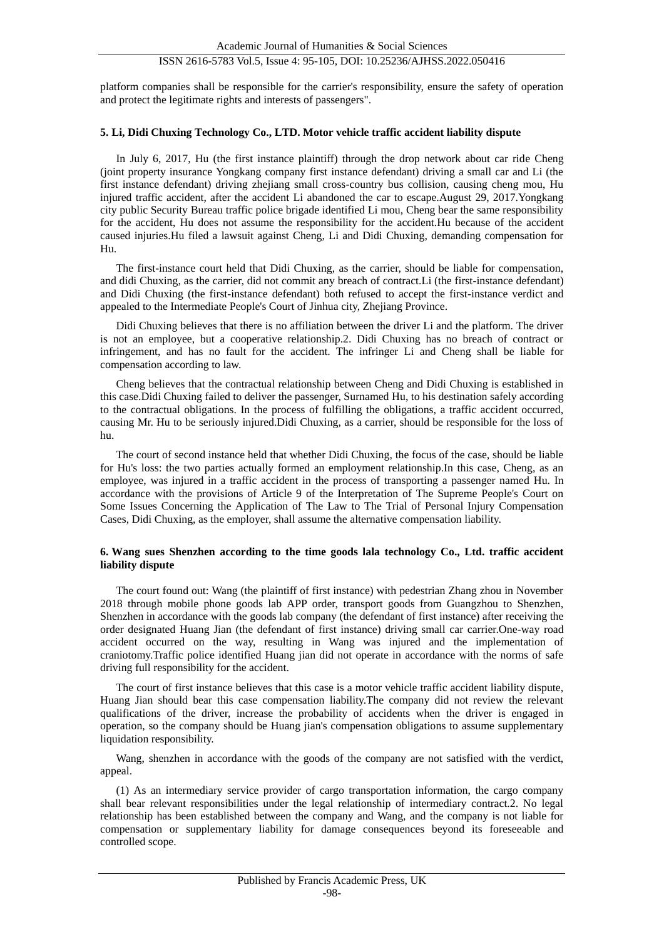platform companies shall be responsible for the carrier's responsibility, ensure the safety of operation and protect the legitimate rights and interests of passengers".

# **5. Li, Didi Chuxing Technology Co., LTD. Motor vehicle traffic accident liability dispute**

In July 6, 2017, Hu (the first instance plaintiff) through the drop network about car ride Cheng (joint property insurance Yongkang company first instance defendant) driving a small car and Li (the first instance defendant) driving zhejiang small cross-country bus collision, causing cheng mou, Hu injured traffic accident, after the accident Li abandoned the car to escape.August 29, 2017.Yongkang city public Security Bureau traffic police brigade identified Li mou, Cheng bear the same responsibility for the accident, Hu does not assume the responsibility for the accident.Hu because of the accident caused injuries.Hu filed a lawsuit against Cheng, Li and Didi Chuxing, demanding compensation for Hu.

The first-instance court held that Didi Chuxing, as the carrier, should be liable for compensation, and didi Chuxing, as the carrier, did not commit any breach of contract.Li (the first-instance defendant) and Didi Chuxing (the first-instance defendant) both refused to accept the first-instance verdict and appealed to the Intermediate People's Court of Jinhua city, Zhejiang Province.

Didi Chuxing believes that there is no affiliation between the driver Li and the platform. The driver is not an employee, but a cooperative relationship.2. Didi Chuxing has no breach of contract or infringement, and has no fault for the accident. The infringer Li and Cheng shall be liable for compensation according to law.

Cheng believes that the contractual relationship between Cheng and Didi Chuxing is established in this case.Didi Chuxing failed to deliver the passenger, Surnamed Hu, to his destination safely according to the contractual obligations. In the process of fulfilling the obligations, a traffic accident occurred, causing Mr. Hu to be seriously injured.Didi Chuxing, as a carrier, should be responsible for the loss of hu.

The court of second instance held that whether Didi Chuxing, the focus of the case, should be liable for Hu's loss: the two parties actually formed an employment relationship.In this case, Cheng, as an employee, was injured in a traffic accident in the process of transporting a passenger named Hu. In accordance with the provisions of Article 9 of the Interpretation of The Supreme People's Court on Some Issues Concerning the Application of The Law to The Trial of Personal Injury Compensation Cases, Didi Chuxing, as the employer, shall assume the alternative compensation liability.

#### **6. Wang sues Shenzhen according to the time goods lala technology Co., Ltd. traffic accident liability dispute**

The court found out: Wang (the plaintiff of first instance) with pedestrian Zhang zhou in November 2018 through mobile phone goods lab APP order, transport goods from Guangzhou to Shenzhen, Shenzhen in accordance with the goods lab company (the defendant of first instance) after receiving the order designated Huang Jian (the defendant of first instance) driving small car carrier.One-way road accident occurred on the way, resulting in Wang was injured and the implementation of craniotomy.Traffic police identified Huang jian did not operate in accordance with the norms of safe driving full responsibility for the accident.

The court of first instance believes that this case is a motor vehicle traffic accident liability dispute, Huang Jian should bear this case compensation liability.The company did not review the relevant qualifications of the driver, increase the probability of accidents when the driver is engaged in operation, so the company should be Huang jian's compensation obligations to assume supplementary liquidation responsibility.

Wang, shenzhen in accordance with the goods of the company are not satisfied with the verdict, appeal.

(1) As an intermediary service provider of cargo transportation information, the cargo company shall bear relevant responsibilities under the legal relationship of intermediary contract.2. No legal relationship has been established between the company and Wang, and the company is not liable for compensation or supplementary liability for damage consequences beyond its foreseeable and controlled scope.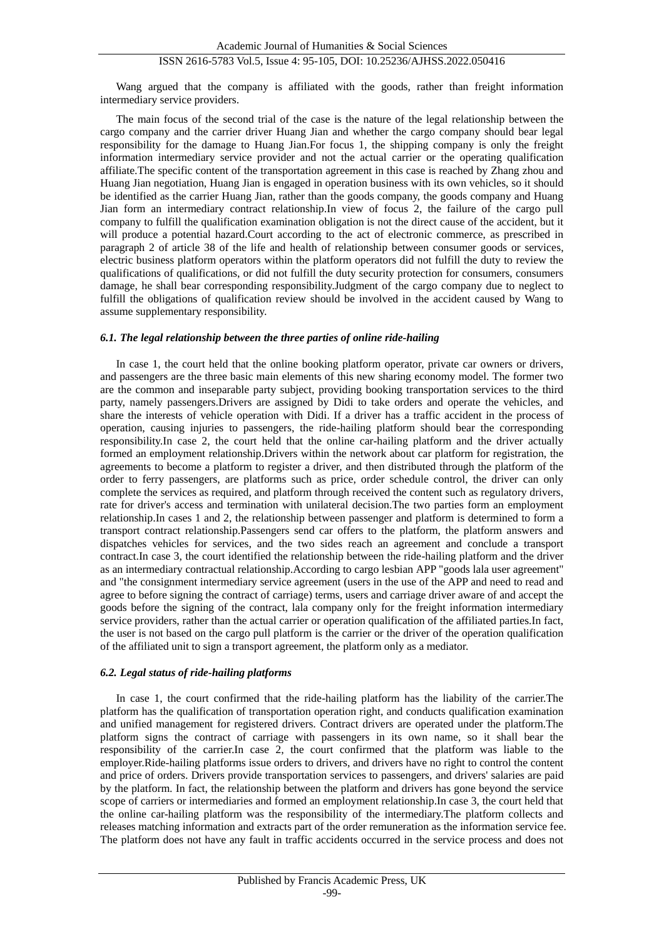Wang argued that the company is affiliated with the goods, rather than freight information intermediary service providers.

The main focus of the second trial of the case is the nature of the legal relationship between the cargo company and the carrier driver Huang Jian and whether the cargo company should bear legal responsibility for the damage to Huang Jian.For focus 1, the shipping company is only the freight information intermediary service provider and not the actual carrier or the operating qualification affiliate.The specific content of the transportation agreement in this case is reached by Zhang zhou and Huang Jian negotiation, Huang Jian is engaged in operation business with its own vehicles, so it should be identified as the carrier Huang Jian, rather than the goods company, the goods company and Huang Jian form an intermediary contract relationship.In view of focus 2, the failure of the cargo pull company to fulfill the qualification examination obligation is not the direct cause of the accident, but it will produce a potential hazard.Court according to the act of electronic commerce, as prescribed in paragraph 2 of article 38 of the life and health of relationship between consumer goods or services, electric business platform operators within the platform operators did not fulfill the duty to review the qualifications of qualifications, or did not fulfill the duty security protection for consumers, consumers damage, he shall bear corresponding responsibility.Judgment of the cargo company due to neglect to fulfill the obligations of qualification review should be involved in the accident caused by Wang to assume supplementary responsibility.

#### *6.1. The legal relationship between the three parties of online ride-hailing*

In case 1, the court held that the online booking platform operator, private car owners or drivers, and passengers are the three basic main elements of this new sharing economy model. The former two are the common and inseparable party subject, providing booking transportation services to the third party, namely passengers.Drivers are assigned by Didi to take orders and operate the vehicles, and share the interests of vehicle operation with Didi. If a driver has a traffic accident in the process of operation, causing injuries to passengers, the ride-hailing platform should bear the corresponding responsibility.In case 2, the court held that the online car-hailing platform and the driver actually formed an employment relationship.Drivers within the network about car platform for registration, the agreements to become a platform to register a driver, and then distributed through the platform of the order to ferry passengers, are platforms such as price, order schedule control, the driver can only complete the services as required, and platform through received the content such as regulatory drivers, rate for driver's access and termination with unilateral decision.The two parties form an employment relationship.In cases 1 and 2, the relationship between passenger and platform is determined to form a transport contract relationship.Passengers send car offers to the platform, the platform answers and dispatches vehicles for services, and the two sides reach an agreement and conclude a transport contract.In case 3, the court identified the relationship between the ride-hailing platform and the driver as an intermediary contractual relationship.According to cargo lesbian APP "goods lala user agreement" and "the consignment intermediary service agreement (users in the use of the APP and need to read and agree to before signing the contract of carriage) terms, users and carriage driver aware of and accept the goods before the signing of the contract, lala company only for the freight information intermediary service providers, rather than the actual carrier or operation qualification of the affiliated parties.In fact, the user is not based on the cargo pull platform is the carrier or the driver of the operation qualification of the affiliated unit to sign a transport agreement, the platform only as a mediator.

#### *6.2. Legal status of ride-hailing platforms*

In case 1, the court confirmed that the ride-hailing platform has the liability of the carrier.The platform has the qualification of transportation operation right, and conducts qualification examination and unified management for registered drivers. Contract drivers are operated under the platform.The platform signs the contract of carriage with passengers in its own name, so it shall bear the responsibility of the carrier.In case 2, the court confirmed that the platform was liable to the employer.Ride-hailing platforms issue orders to drivers, and drivers have no right to control the content and price of orders. Drivers provide transportation services to passengers, and drivers' salaries are paid by the platform. In fact, the relationship between the platform and drivers has gone beyond the service scope of carriers or intermediaries and formed an employment relationship.In case 3, the court held that the online car-hailing platform was the responsibility of the intermediary.The platform collects and releases matching information and extracts part of the order remuneration as the information service fee. The platform does not have any fault in traffic accidents occurred in the service process and does not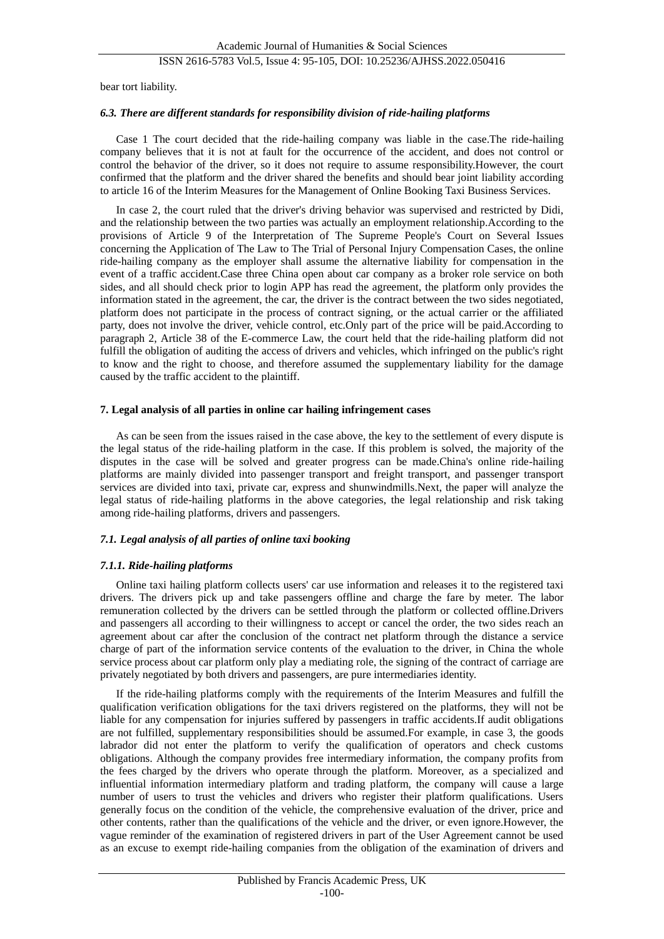bear tort liability.

### *6.3. There are different standards for responsibility division of ride-hailing platforms*

Case 1 The court decided that the ride-hailing company was liable in the case.The ride-hailing company believes that it is not at fault for the occurrence of the accident, and does not control or control the behavior of the driver, so it does not require to assume responsibility.However, the court confirmed that the platform and the driver shared the benefits and should bear joint liability according to article 16 of the Interim Measures for the Management of Online Booking Taxi Business Services.

In case 2, the court ruled that the driver's driving behavior was supervised and restricted by Didi, and the relationship between the two parties was actually an employment relationship.According to the provisions of Article 9 of the Interpretation of The Supreme People's Court on Several Issues concerning the Application of The Law to The Trial of Personal Injury Compensation Cases, the online ride-hailing company as the employer shall assume the alternative liability for compensation in the event of a traffic accident.Case three China open about car company as a broker role service on both sides, and all should check prior to login APP has read the agreement, the platform only provides the information stated in the agreement, the car, the driver is the contract between the two sides negotiated, platform does not participate in the process of contract signing, or the actual carrier or the affiliated party, does not involve the driver, vehicle control, etc.Only part of the price will be paid.According to paragraph 2, Article 38 of the E-commerce Law, the court held that the ride-hailing platform did not fulfill the obligation of auditing the access of drivers and vehicles, which infringed on the public's right to know and the right to choose, and therefore assumed the supplementary liability for the damage caused by the traffic accident to the plaintiff.

#### **7. Legal analysis of all parties in online car hailing infringement cases**

As can be seen from the issues raised in the case above, the key to the settlement of every dispute is the legal status of the ride-hailing platform in the case. If this problem is solved, the majority of the disputes in the case will be solved and greater progress can be made.China's online ride-hailing platforms are mainly divided into passenger transport and freight transport, and passenger transport services are divided into taxi, private car, express and shunwindmills.Next, the paper will analyze the legal status of ride-hailing platforms in the above categories, the legal relationship and risk taking among ride-hailing platforms, drivers and passengers.

#### *7.1. Legal analysis of all parties of online taxi booking*

#### *7.1.1. Ride-hailing platforms*

Online taxi hailing platform collects users' car use information and releases it to the registered taxi drivers. The drivers pick up and take passengers offline and charge the fare by meter. The labor remuneration collected by the drivers can be settled through the platform or collected offline.Drivers and passengers all according to their willingness to accept or cancel the order, the two sides reach an agreement about car after the conclusion of the contract net platform through the distance a service charge of part of the information service contents of the evaluation to the driver, in China the whole service process about car platform only play a mediating role, the signing of the contract of carriage are privately negotiated by both drivers and passengers, are pure intermediaries identity.

If the ride-hailing platforms comply with the requirements of the Interim Measures and fulfill the qualification verification obligations for the taxi drivers registered on the platforms, they will not be liable for any compensation for injuries suffered by passengers in traffic accidents.If audit obligations are not fulfilled, supplementary responsibilities should be assumed.For example, in case 3, the goods labrador did not enter the platform to verify the qualification of operators and check customs obligations. Although the company provides free intermediary information, the company profits from the fees charged by the drivers who operate through the platform. Moreover, as a specialized and influential information intermediary platform and trading platform, the company will cause a large number of users to trust the vehicles and drivers who register their platform qualifications. Users generally focus on the condition of the vehicle, the comprehensive evaluation of the driver, price and other contents, rather than the qualifications of the vehicle and the driver, or even ignore.However, the vague reminder of the examination of registered drivers in part of the User Agreement cannot be used as an excuse to exempt ride-hailing companies from the obligation of the examination of drivers and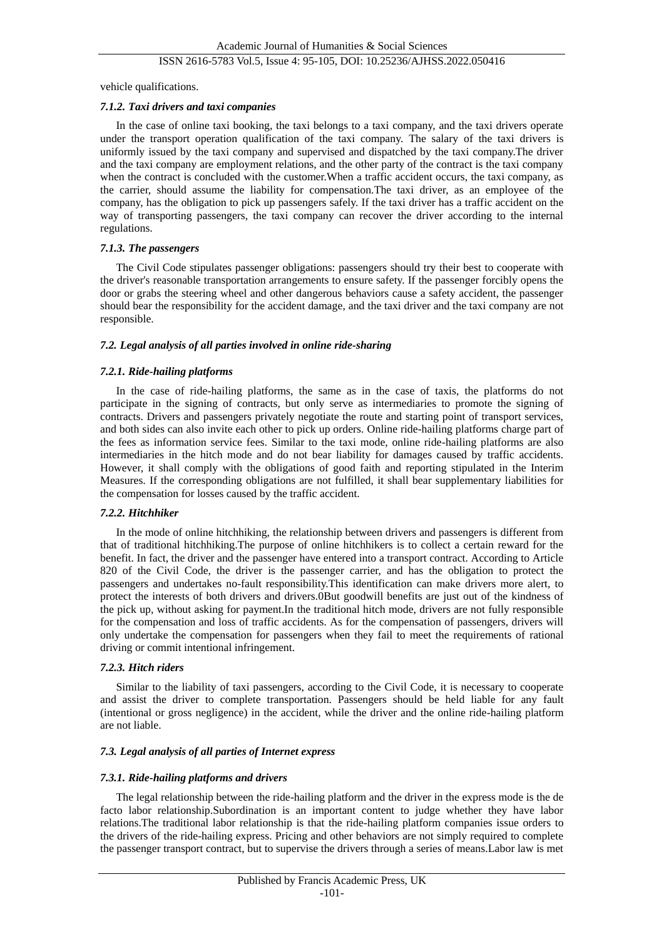vehicle qualifications.

#### *7.1.2. Taxi drivers and taxi companies*

In the case of online taxi booking, the taxi belongs to a taxi company, and the taxi drivers operate under the transport operation qualification of the taxi company. The salary of the taxi drivers is uniformly issued by the taxi company and supervised and dispatched by the taxi company.The driver and the taxi company are employment relations, and the other party of the contract is the taxi company when the contract is concluded with the customer. When a traffic accident occurs, the taxi company, as the carrier, should assume the liability for compensation.The taxi driver, as an employee of the company, has the obligation to pick up passengers safely. If the taxi driver has a traffic accident on the way of transporting passengers, the taxi company can recover the driver according to the internal regulations.

# *7.1.3. The passengers*

The Civil Code stipulates passenger obligations: passengers should try their best to cooperate with the driver's reasonable transportation arrangements to ensure safety. If the passenger forcibly opens the door or grabs the steering wheel and other dangerous behaviors cause a safety accident, the passenger should bear the responsibility for the accident damage, and the taxi driver and the taxi company are not responsible.

#### *7.2. Legal analysis of all parties involved in online ride-sharing*

#### *7.2.1. Ride-hailing platforms*

In the case of ride-hailing platforms, the same as in the case of taxis, the platforms do not participate in the signing of contracts, but only serve as intermediaries to promote the signing of contracts. Drivers and passengers privately negotiate the route and starting point of transport services, and both sides can also invite each other to pick up orders. Online ride-hailing platforms charge part of the fees as information service fees. Similar to the taxi mode, online ride-hailing platforms are also intermediaries in the hitch mode and do not bear liability for damages caused by traffic accidents. However, it shall comply with the obligations of good faith and reporting stipulated in the Interim Measures. If the corresponding obligations are not fulfilled, it shall bear supplementary liabilities for the compensation for losses caused by the traffic accident.

# *7.2.2. Hitchhiker*

In the mode of online hitchhiking, the relationship between drivers and passengers is different from that of traditional hitchhiking.The purpose of online hitchhikers is to collect a certain reward for the benefit. In fact, the driver and the passenger have entered into a transport contract. According to Article 820 of the Civil Code, the driver is the passenger carrier, and has the obligation to protect the passengers and undertakes no-fault responsibility.This identification can make drivers more alert, to protect the interests of both drivers and drivers[.0B](#page-10-3)ut goodwill benefits are just out of the kindness of the pick up, without asking for payment.In the traditional hitch mode, drivers are not fully responsible for the compensation and loss of traffic accidents. As for the compensation of passengers, drivers will only undertake the compensation for passengers when they fail to meet the requirements of rational driving or commit intentional infringement.

### *7.2.3. Hitch riders*

Similar to the liability of taxi passengers, according to the Civil Code, it is necessary to cooperate and assist the driver to complete transportation. Passengers should be held liable for any fault (intentional or gross negligence) in the accident, while the driver and the online ride-hailing platform are not liable.

# *7.3. Legal analysis of all parties of Internet express*

#### *7.3.1. Ride-hailing platforms and drivers*

The legal relationship between the ride-hailing platform and the driver in the express mode is the de facto labor relationship.Subordination is an important content to judge whether they have labor relations.The traditional labor relationship is that the ride-hailing platform companies issue orders to the drivers of the ride-hailing express. Pricing and other behaviors are not simply required to complete the passenger transport contract, but to supervise the drivers through a series of means.Labor law is met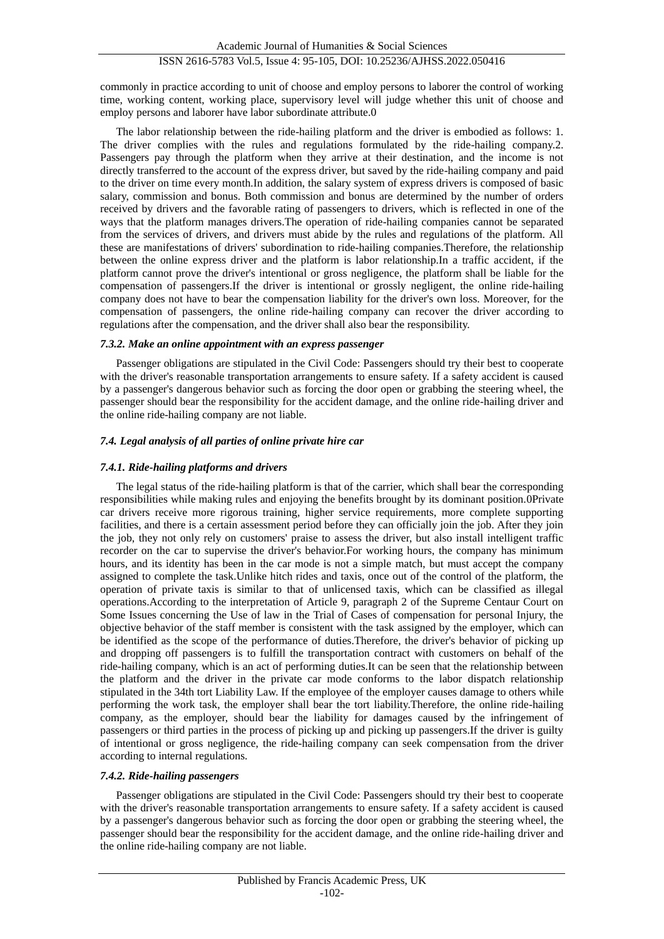commonly in practice according to unit of choose and employ persons to laborer the control of working time, working content, working place, supervisory level will judge whether this unit of choose and employ persons and laborer have labor subordinate attribut[e.0](#page-10-4)

The labor relationship between the ride-hailing platform and the driver is embodied as follows: 1. The driver complies with the rules and regulations formulated by the ride-hailing company.2. Passengers pay through the platform when they arrive at their destination, and the income is not directly transferred to the account of the express driver, but saved by the ride-hailing company and paid to the driver on time every month.In addition, the salary system of express drivers is composed of basic salary, commission and bonus. Both commission and bonus are determined by the number of orders received by drivers and the favorable rating of passengers to drivers, which is reflected in one of the ways that the platform manages drivers.The operation of ride-hailing companies cannot be separated from the services of drivers, and drivers must abide by the rules and regulations of the platform. All these are manifestations of drivers' subordination to ride-hailing companies.Therefore, the relationship between the online express driver and the platform is labor relationship.In a traffic accident, if the platform cannot prove the driver's intentional or gross negligence, the platform shall be liable for the compensation of passengers.If the driver is intentional or grossly negligent, the online ride-hailing company does not have to bear the compensation liability for the driver's own loss. Moreover, for the compensation of passengers, the online ride-hailing company can recover the driver according to regulations after the compensation, and the driver shall also bear the responsibility.

#### *7.3.2. Make an online appointment with an express passenger*

Passenger obligations are stipulated in the Civil Code: Passengers should try their best to cooperate with the driver's reasonable transportation arrangements to ensure safety. If a safety accident is caused by a passenger's dangerous behavior such as forcing the door open or grabbing the steering wheel, the passenger should bear the responsibility for the accident damage, and the online ride-hailing driver and the online ride-hailing company are not liable.

# *7.4. Legal analysis of all parties of online private hire car*

#### *7.4.1. Ride-hailing platforms and drivers*

The legal status of the ride-hailing platform is that of the carrier, which shall bear the corresponding responsibilities while making rules and enjoying the benefits brought by its dominant position[.0P](#page-10-5)rivate car drivers receive more rigorous training, higher service requirements, more complete supporting facilities, and there is a certain assessment period before they can officially join the job. After they join the job, they not only rely on customers' praise to assess the driver, but also install intelligent traffic recorder on the car to supervise the driver's behavior.For working hours, the company has minimum hours, and its identity has been in the car mode is not a simple match, but must accept the company assigned to complete the task.Unlike hitch rides and taxis, once out of the control of the platform, the operation of private taxis is similar to that of unlicensed taxis, which can be classified as illegal operations.According to the interpretation of Article 9, paragraph 2 of the Supreme Centaur Court on Some Issues concerning the Use of law in the Trial of Cases of compensation for personal Injury, the objective behavior of the staff member is consistent with the task assigned by the employer, which can be identified as the scope of the performance of duties.Therefore, the driver's behavior of picking up and dropping off passengers is to fulfill the transportation contract with customers on behalf of the ride-hailing company, which is an act of performing duties.It can be seen that the relationship between the platform and the driver in the private car mode conforms to the labor dispatch relationship stipulated in the 34th tort Liability Law. If the employee of the employer causes damage to others while performing the work task, the employer shall bear the tort liability.Therefore, the online ride-hailing company, as the employer, should bear the liability for damages caused by the infringement of passengers or third parties in the process of picking up and picking up passengers.If the driver is guilty of intentional or gross negligence, the ride-hailing company can seek compensation from the driver according to internal regulations.

#### *7.4.2. Ride-hailing passengers*

Passenger obligations are stipulated in the Civil Code: Passengers should try their best to cooperate with the driver's reasonable transportation arrangements to ensure safety. If a safety accident is caused by a passenger's dangerous behavior such as forcing the door open or grabbing the steering wheel, the passenger should bear the responsibility for the accident damage, and the online ride-hailing driver and the online ride-hailing company are not liable.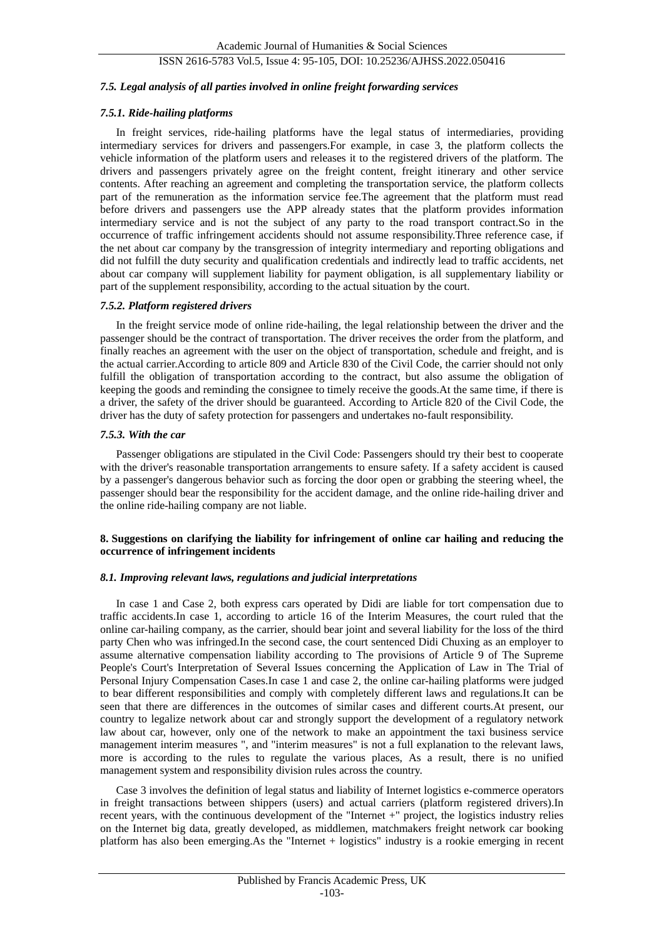#### *7.5. Legal analysis of all parties involved in online freight forwarding services*

#### *7.5.1. Ride-hailing platforms*

In freight services, ride-hailing platforms have the legal status of intermediaries, providing intermediary services for drivers and passengers.For example, in case 3, the platform collects the vehicle information of the platform users and releases it to the registered drivers of the platform. The drivers and passengers privately agree on the freight content, freight itinerary and other service contents. After reaching an agreement and completing the transportation service, the platform collects part of the remuneration as the information service fee.The agreement that the platform must read before drivers and passengers use the APP already states that the platform provides information intermediary service and is not the subject of any party to the road transport contract.So in the occurrence of traffic infringement accidents should not assume responsibility.Three reference case, if the net about car company by the transgression of integrity intermediary and reporting obligations and did not fulfill the duty security and qualification credentials and indirectly lead to traffic accidents, net about car company will supplement liability for payment obligation, is all supplementary liability or part of the supplement responsibility, according to the actual situation by the court.

#### *7.5.2. Platform registered drivers*

In the freight service mode of online ride-hailing, the legal relationship between the driver and the passenger should be the contract of transportation. The driver receives the order from the platform, and finally reaches an agreement with the user on the object of transportation, schedule and freight, and is the actual carrier.According to article 809 and Article 830 of the Civil Code, the carrier should not only fulfill the obligation of transportation according to the contract, but also assume the obligation of keeping the goods and reminding the consignee to timely receive the goods.At the same time, if there is a driver, the safety of the driver should be guaranteed. According to Article 820 of the Civil Code, the driver has the duty of safety protection for passengers and undertakes no-fault responsibility.

#### *7.5.3. With the car*

Passenger obligations are stipulated in the Civil Code: Passengers should try their best to cooperate with the driver's reasonable transportation arrangements to ensure safety. If a safety accident is caused by a passenger's dangerous behavior such as forcing the door open or grabbing the steering wheel, the passenger should bear the responsibility for the accident damage, and the online ride-hailing driver and the online ride-hailing company are not liable.

#### **8. Suggestions on clarifying the liability for infringement of online car hailing and reducing the occurrence of infringement incidents**

#### *8.1. Improving relevant laws, regulations and judicial interpretations*

In case 1 and Case 2, both express cars operated by Didi are liable for tort compensation due to traffic accidents.In case 1, according to article 16 of the Interim Measures, the court ruled that the online car-hailing company, as the carrier, should bear joint and several liability for the loss of the third party Chen who was infringed.In the second case, the court sentenced Didi Chuxing as an employer to assume alternative compensation liability according to The provisions of Article 9 of The Supreme People's Court's Interpretation of Several Issues concerning the Application of Law in The Trial of Personal Injury Compensation Cases.In case 1 and case 2, the online car-hailing platforms were judged to bear different responsibilities and comply with completely different laws and regulations.It can be seen that there are differences in the outcomes of similar cases and different courts.At present, our country to legalize network about car and strongly support the development of a regulatory network law about car, however, only one of the network to make an appointment the taxi business service management interim measures ", and "interim measures" is not a full explanation to the relevant laws, more is according to the rules to regulate the various places, As a result, there is no unified management system and responsibility division rules across the country.

Case 3 involves the definition of legal status and liability of Internet logistics e-commerce operators in freight transactions between shippers (users) and actual carriers (platform registered drivers).In recent years, with the continuous development of the "Internet +" project, the logistics industry relies on the Internet big data, greatly developed, as middlemen, matchmakers freight network car booking platform has also been emerging.As the "Internet + logistics" industry is a rookie emerging in recent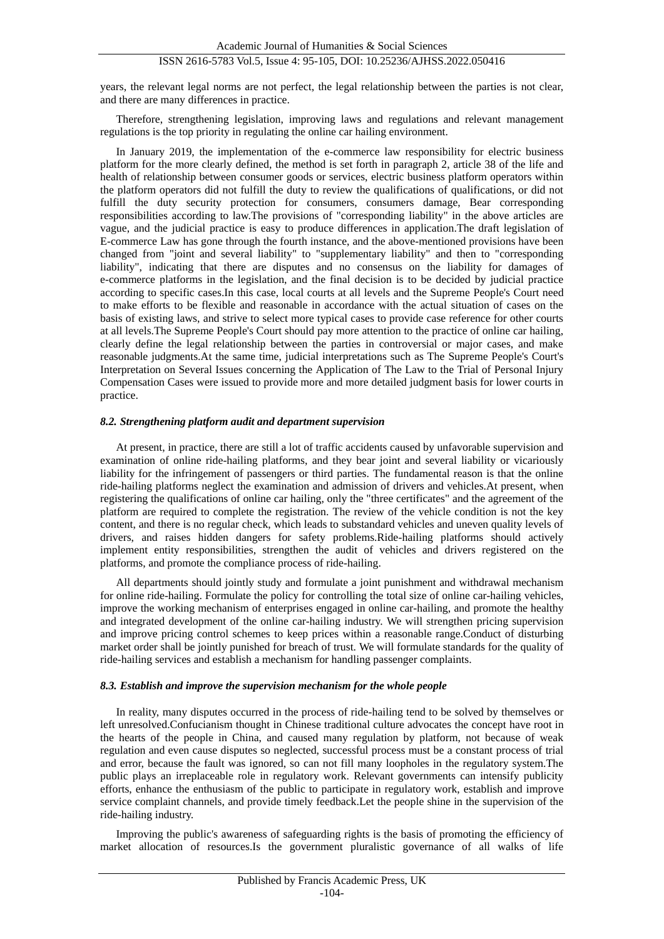years, the relevant legal norms are not perfect, the legal relationship between the parties is not clear, and there are many differences in practice.

Therefore, strengthening legislation, improving laws and regulations and relevant management regulations is the top priority in regulating the online car hailing environment.

In January 2019, the implementation of the e-commerce law responsibility for electric business platform for the more clearly defined, the method is set forth in paragraph 2, article 38 of the life and health of relationship between consumer goods or services, electric business platform operators within the platform operators did not fulfill the duty to review the qualifications of qualifications, or did not fulfill the duty security protection for consumers, consumers damage, Bear corresponding responsibilities according to law.The provisions of "corresponding liability" in the above articles are vague, and the judicial practice is easy to produce differences in application.The draft legislation of E-commerce Law has gone through the fourth instance, and the above-mentioned provisions have been changed from "joint and several liability" to "supplementary liability" and then to "corresponding liability", indicating that there are disputes and no consensus on the liability for damages of e-commerce platforms in the legislation, and the final decision is to be decided by judicial practice according to specific cases.In this case, local courts at all levels and the Supreme People's Court need to make efforts to be flexible and reasonable in accordance with the actual situation of cases on the basis of existing laws, and strive to select more typical cases to provide case reference for other courts at all levels.The Supreme People's Court should pay more attention to the practice of online car hailing, clearly define the legal relationship between the parties in controversial or major cases, and make reasonable judgments.At the same time, judicial interpretations such as The Supreme People's Court's Interpretation on Several Issues concerning the Application of The Law to the Trial of Personal Injury Compensation Cases were issued to provide more and more detailed judgment basis for lower courts in practice.

#### *8.2. Strengthening platform audit and department supervision*

At present, in practice, there are still a lot of traffic accidents caused by unfavorable supervision and examination of online ride-hailing platforms, and they bear joint and several liability or vicariously liability for the infringement of passengers or third parties. The fundamental reason is that the online ride-hailing platforms neglect the examination and admission of drivers and vehicles.At present, when registering the qualifications of online car hailing, only the "three certificates" and the agreement of the platform are required to complete the registration. The review of the vehicle condition is not the key content, and there is no regular check, which leads to substandard vehicles and uneven quality levels of drivers, and raises hidden dangers for safety problems.Ride-hailing platforms should actively implement entity responsibilities, strengthen the audit of vehicles and drivers registered on the platforms, and promote the compliance process of ride-hailing.

All departments should jointly study and formulate a joint punishment and withdrawal mechanism for online ride-hailing. Formulate the policy for controlling the total size of online car-hailing vehicles, improve the working mechanism of enterprises engaged in online car-hailing, and promote the healthy and integrated development of the online car-hailing industry. We will strengthen pricing supervision and improve pricing control schemes to keep prices within a reasonable range.Conduct of disturbing market order shall be jointly punished for breach of trust. We will formulate standards for the quality of ride-hailing services and establish a mechanism for handling passenger complaints.

#### *8.3. Establish and improve the supervision mechanism for the whole people*

In reality, many disputes occurred in the process of ride-hailing tend to be solved by themselves or left unresolved.Confucianism thought in Chinese traditional culture advocates the concept have root in the hearts of the people in China, and caused many regulation by platform, not because of weak regulation and even cause disputes so neglected, successful process must be a constant process of trial and error, because the fault was ignored, so can not fill many loopholes in the regulatory system.The public plays an irreplaceable role in regulatory work. Relevant governments can intensify publicity efforts, enhance the enthusiasm of the public to participate in regulatory work, establish and improve service complaint channels, and provide timely feedback.Let the people shine in the supervision of the ride-hailing industry.

Improving the public's awareness of safeguarding rights is the basis of promoting the efficiency of market allocation of resources.Is the government pluralistic governance of all walks of life